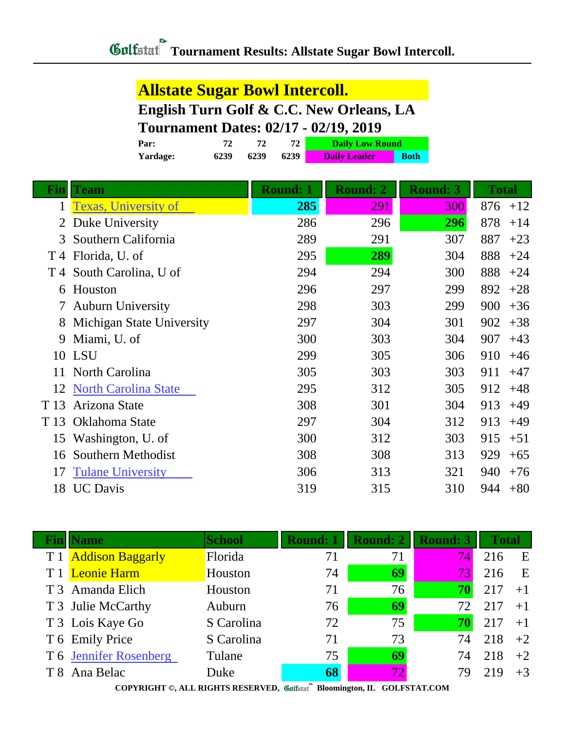### **Allstate Sugar Bowl Intercoll.**

**English Turn Golf & C.C. New Orleans, LA**

#### **Tournament Dates: 02/17 - 02/19, 2019**

| Par:     | 72   |      |      | <b>Daily Low Round</b> |             |
|----------|------|------|------|------------------------|-------------|
| Yardage: | 6239 | 6239 | 6239 | <b>Daily Leader</b>    | <b>Both</b> |

| <u>Fin</u> | <b>Team</b>                 | Round: 1 | <b>Round: 2</b> | <b>Round: 3</b> | <b>Total</b> |
|------------|-----------------------------|----------|-----------------|-----------------|--------------|
| 1          | <b>Texas, University of</b> | 285      | 291             | 300             | 876<br>$+12$ |
|            | Duke University             | 286      | 296             | 296             | 878<br>$+14$ |
| 3          | Southern California         | 289      | 291             | 307             | 887<br>$+23$ |
|            | T 4 Florida, U. of          | 295      | 289             | 304             | 888<br>$+24$ |
|            | T 4 South Carolina, U of    | 294      | 294             | 300             | 888<br>$+24$ |
| 6          | Houston                     | 296      | 297             | 299             | 892<br>$+28$ |
|            | <b>Auburn University</b>    | 298      | 303             | 299             | 900<br>$+36$ |
| 8          | Michigan State University   | 297      | 304             | 301             | 902<br>$+38$ |
| 9          | Miami, U. of                | 300      | 303             | 304             | 907<br>$+43$ |
|            | 10 LSU                      | 299      | 305             | 306             | 910<br>$+46$ |
| 11         | North Carolina              | 305      | 303             | 303             | 911<br>$+47$ |
| 12         | <b>North Carolina State</b> | 295      | 312             | 305             | $+48$<br>912 |
| T 13       | Arizona State               | 308      | 301             | 304             | $+49$<br>913 |
| T 13       | Oklahoma State              | 297      | 304             | 312             | 913<br>$+49$ |
| 15         | Washington, U. of           | 300      | 312             | 303             | 915<br>$+51$ |
| 16         | Southern Methodist          | 308      | 308             | 313             | 929<br>$+65$ |
| 17         | <b>Tulane University</b>    | 306      | 313             | 321             | 940<br>$+76$ |
| 18         | <b>UC</b> Davis             | 319      | 315             | 310             | 944<br>$+80$ |

| <b>Name</b>            | <b>School</b> | <b>Round: 1</b> | <b>Round: 2</b> | <b>Round: 3</b> | <b>Total</b> |      |
|------------------------|---------------|-----------------|-----------------|-----------------|--------------|------|
| T 1 Addison Baggarly   | Florida       | 71              | 71              | 74              | 216          | E    |
| T 1 Leonie Harm        | Houston       | 74              | 69              | 731             | 216          | E    |
| T 3 Amanda Elich       | Houston       | 71              | 76              | 70              | 217          | $+1$ |
| T 3 Julie McCarthy     | Auburn        | 76              | 69              | 72              | 217          | $+1$ |
| T 3 Lois Kaye Go       | S Carolina    | 72              | 75              | 70              | 217          | $+1$ |
| T 6 Emily Price        | S Carolina    | 71              | 73              | 74              | 218          | $+2$ |
| T 6 Jennifer Rosenberg | Tulane        | 75              | 69              | 74              | 218          | $+2$ |
| T 8 Ana Belac          | Duke          | 68              | 72              | 79              | 219          | $+3$ |
|                        |               | <b>Branch</b>   |                 |                 |              |      |

**COPYRIGHT ©, ALL RIGHTS RESERVED, Bloomington, IL GOLFSTAT.COM**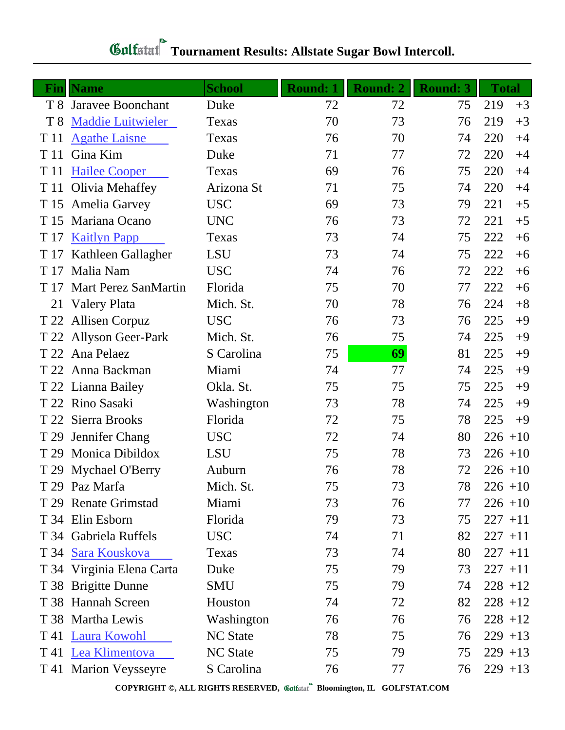| Fin            | <b>Name</b>               | <b>School</b>   | <b>Round: 1</b> | <b>Round: 2</b> | <b>Round: 3</b> | <b>Total</b> |      |
|----------------|---------------------------|-----------------|-----------------|-----------------|-----------------|--------------|------|
| T8             | Jaravee Boonchant         | Duke            | 72              | 72              | 75              | 219          | $+3$ |
| T <sub>8</sub> | <b>Maddie Luitwieler</b>  | Texas           | 70              | 73              | 76              | 219          | $+3$ |
| T 11           | <b>Agathe Laisne</b>      | Texas           | 76              | 70              | 74              | 220          | $+4$ |
| T 11           | Gina Kim                  | Duke            | 71              | 77              | 72              | 220          | $+4$ |
| T 11           | <b>Hailee Cooper</b>      | Texas           | 69              | 76              | 75              | 220          | $+4$ |
| T 11           | Olivia Mehaffey           | Arizona St      | 71              | 75              | 74              | 220          | $+4$ |
| T 15           | Amelia Garvey             | <b>USC</b>      | 69              | 73              | 79              | 221          | $+5$ |
|                | T 15 Mariana Ocano        | <b>UNC</b>      | 76              | 73              | 72              | 221          | $+5$ |
| T 17           | <b>Kaitlyn Papp</b>       | Texas           | 73              | 74              | 75              | 222          | $+6$ |
|                | T 17 Kathleen Gallagher   | LSU             | 73              | 74              | 75              | 222          | $+6$ |
|                | T 17 Malia Nam            | <b>USC</b>      | 74              | 76              | 72              | 222          | $+6$ |
|                | T 17 Mart Perez SanMartin | Florida         | 75              | 70              | 77              | 222          | $+6$ |
| 21             | Valery Plata              | Mich. St.       | 70              | 78              | 76              | 224          | $+8$ |
|                | T 22 Allisen Corpuz       | <b>USC</b>      | 76              | 73              | 76              | 225          | $+9$ |
|                | T 22 Allyson Geer-Park    | Mich. St.       | 76              | 75              | 74              | 225          | $+9$ |
|                | T 22 Ana Pelaez           | S Carolina      | 75              | 69              | 81              | 225          | $+9$ |
|                | T 22 Anna Backman         | Miami           | 74              | 77              | 74              | 225          | $+9$ |
|                | T 22 Lianna Bailey        | Okla. St.       | 75              | 75              | 75              | 225          | $+9$ |
|                | T 22 Rino Sasaki          | Washington      | 73              | 78              | 74              | 225          | $+9$ |
|                | T 22 Sierra Brooks        | Florida         | 72              | 75              | 78              | 225          | $+9$ |
| T 29           | Jennifer Chang            | <b>USC</b>      | 72              | 74              | 80              | $226 + 10$   |      |
|                | T 29 Monica Dibildox      | LSU             | 75              | 78              | 73              | $226 + 10$   |      |
|                | T 29 Mychael O'Berry      | Auburn          | 76              | 78              | 72              | $226 + 10$   |      |
|                | T 29 Paz Marfa            | Mich. St.       | 75              | 73              | 78              | $226 + 10$   |      |
|                | T 29 Renate Grimstad      | Miami           | 73              | 76              | 77              | $226 + 10$   |      |
|                | T 34 Elin Esborn          | Florida         | 79              | 73              | 75              | $227 + 11$   |      |
|                | T 34 Gabriela Ruffels     | <b>USC</b>      | 74              | 71              | 82              | $227 + 11$   |      |
|                | T 34 Sara Kouskova        | Texas           | 73              | 74              | 80              | $227 + 11$   |      |
|                | T 34 Virginia Elena Carta | Duke            | 75              | 79              | 73              | $227 + 11$   |      |
|                | T 38 Brigitte Dunne       | SMU             | 75              | 79              | 74              | $228 + 12$   |      |
|                | T 38 Hannah Screen        | Houston         | 74              | 72              | 82              | $228 + 12$   |      |
|                | T 38 Martha Lewis         | Washington      | 76              | 76              | 76              | $228 + 12$   |      |
|                | T 41 Laura Kowohl         | <b>NC State</b> | 78              | 75              | 76              | $229 + 13$   |      |
|                | T 41 Lea Klimentova       | <b>NC State</b> | 75              | 79              | 75              | $229 + 13$   |      |
|                | T 41 Marion Veysseyre     | S Carolina      | 76              | 77              | 76              | $229 + 13$   |      |

## **Tournament Results: Allstate Sugar Bowl Intercoll.**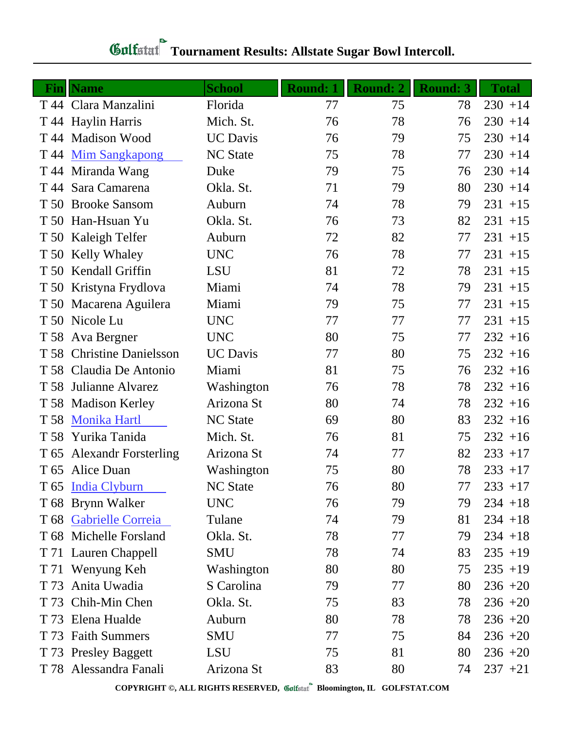| Fin  | <b>Name</b>                 | <b>School</b>   | Round: 1 | <b>Round: 2</b> | <b>Round: 3</b> | <b>Total</b> |
|------|-----------------------------|-----------------|----------|-----------------|-----------------|--------------|
|      | T 44 Clara Manzalini        | Florida         | 77       | 75              | 78              | $230 + 14$   |
|      | T 44 Haylin Harris          | Mich. St.       | 76       | 78              | 76              | $230 + 14$   |
|      | T 44 Madison Wood           | <b>UC</b> Davis | 76       | 79              | 75              | $230 + 14$   |
|      | T 44 Mim Sangkapong         | <b>NC</b> State | 75       | 78              | 77              | $230 + 14$   |
|      | T 44 Miranda Wang           | Duke            | 79       | 75              | 76              | $230 + 14$   |
|      | T 44 Sara Camarena          | Okla. St.       | 71       | 79              | 80              | $230 + 14$   |
|      | T 50 Brooke Sansom          | Auburn          | 74       | 78              | 79              | $231 + 15$   |
|      | T 50 Han-Hsuan Yu           | Okla. St.       | 76       | 73              | 82              | $231 + 15$   |
| T 50 | Kaleigh Telfer              | Auburn          | 72       | 82              | 77              | $231 + 15$   |
|      | T 50 Kelly Whaley           | <b>UNC</b>      | 76       | 78              | 77              | $231 + 15$   |
|      | T 50 Kendall Griffin        | <b>LSU</b>      | 81       | 72              | 78              | $231 + 15$   |
|      | T 50 Kristyna Frydlova      | Miami           | 74       | 78              | 79              | $231 + 15$   |
|      | T 50 Macarena Aguilera      | Miami           | 79       | 75              | 77              | $231 + 15$   |
|      | T 50 Nicole Lu              | <b>UNC</b>      | 77       | 77              | 77              | $231 + 15$   |
|      | T 58 Ava Bergner            | <b>UNC</b>      | 80       | 75              | 77              | $232 + 16$   |
|      | T 58 Christine Danielsson   | <b>UC</b> Davis | 77       | 80              | 75              | $232 + 16$   |
|      | T 58 Claudia De Antonio     | Miami           | 81       | 75              | 76              | $232 + 16$   |
|      | T 58 Julianne Alvarez       | Washington      | 76       | 78              | 78              | $232 + 16$   |
|      | T 58 Madison Kerley         | Arizona St      | 80       | 74              | 78              | $232 + 16$   |
| T 58 | <b>Monika Hartl</b>         | <b>NC State</b> | 69       | 80              | 83              | $232 + 16$   |
| T 58 | Yurika Tanida               | Mich. St.       | 76       | 81              | 75              | $232 + 16$   |
| T 65 | <b>Alexandr Forsterling</b> | Arizona St      | 74       | 77              | 82              | $233 + 17$   |
|      | T 65 Alice Duan             | Washington      | 75       | 80              | 78              | $233 + 17$   |
|      | T 65 India Clyburn          | <b>NC State</b> | 76       | 80              | 77              | $233 + 17$   |
|      | T 68 Brynn Walker           | <b>UNC</b>      | 76       | 79              | 79              | $234 + 18$   |
|      | T 68 Gabrielle Correia      | Tulane          | 74       | 79              | 81              | $234 + 18$   |
|      | T 68 Michelle Forsland      | Okla. St.       | 78       | 77              | 79              | $234 + 18$   |
|      | T 71 Lauren Chappell        | <b>SMU</b>      | 78       | 74              | 83              | $235 + 19$   |
|      | T 71 Wenyung Keh            | Washington      | 80       | 80              | 75              | $235 + 19$   |
| T 73 | Anita Uwadia                | S Carolina      | 79       | 77              | 80              | $236 + 20$   |
|      | T 73 Chih-Min Chen          | Okla. St.       | 75       | 83              | 78              | $236 + 20$   |
| T 73 | Elena Hualde                | Auburn          | 80       | 78              | 78              | $236 + 20$   |
|      | T 73 Faith Summers          | <b>SMU</b>      | 77       | 75              | 84              | $236 + 20$   |
|      | T 73 Presley Baggett        | LSU             | 75       | 81              | 80              | $236 + 20$   |
|      | T 78 Alessandra Fanali      | Arizona St      | 83       | 80              | 74              | $237 + 21$   |

# **Gulfatat** Tournament Results: Allstate Sugar Bowl Intercoll.